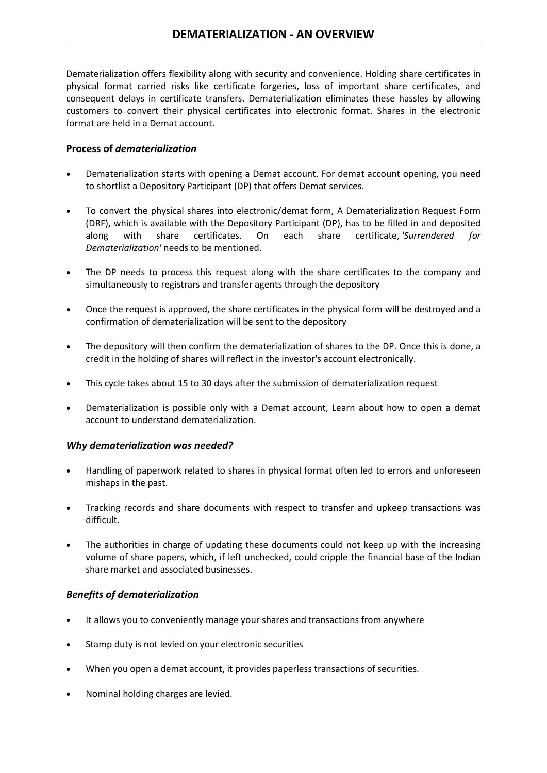Dematerialization offers flexibility along with security and convenience. Holding share certificates in physical format carried risks like certificate forgeries, loss of important share certificates, and consequent delays in certificate transfers. Dematerialization eliminates these hassles by allowing customers to convert their physical certificates into electronic format. Shares in the electronic format are held in a Demat account.

# **Process of** *dematerialization*

- Dematerialization starts with opening a Demat account. For demat account opening, you need to shortlist a Depository Participant (DP) that offers Demat services.
- To convert the physical shares into electronic/demat form, A Dematerialization Request Form (DRF), which is available with the Depository Participant (DP), has to be filled in and deposited along with share certificates. On each share certificate, *'Surrendered for Dematerialization'* needs to be mentioned.
- The DP needs to process this request along with the share certificates to the company and simultaneously to registrars and transfer agents through the depository
- Once the request is approved, the share certificates in the physical form will be destroyed and a confirmation of dematerialization will be sent to the depository
- The depository will then confirm the dematerialization of shares to the DP. Once this is done, a credit in the holding of shares will reflect in the investor's account electronically.
- This cycle takes about 15 to 30 days after the submission of dematerialization request
- Dematerialization is possible only with a Demat account, Learn about how to open a demat account to understand dematerialization.

# *Why dematerialization was needed?*

- Handling of paperwork related to shares in physical format often led to errors and unforeseen mishaps in the past.
- Tracking records and share documents with respect to transfer and upkeep transactions was difficult.
- The authorities in charge of updating these documents could not keep up with the increasing volume of share papers, which, if left unchecked, could cripple the financial base of the Indian share market and associated businesses.

# *Benefits of dematerialization*

- It allows you to conveniently manage your shares and transactions from anywhere
- Stamp duty is not levied on your electronic securities
- When you open a demat account, it provides paperless transactions of securities.
- Nominal holding charges are levied.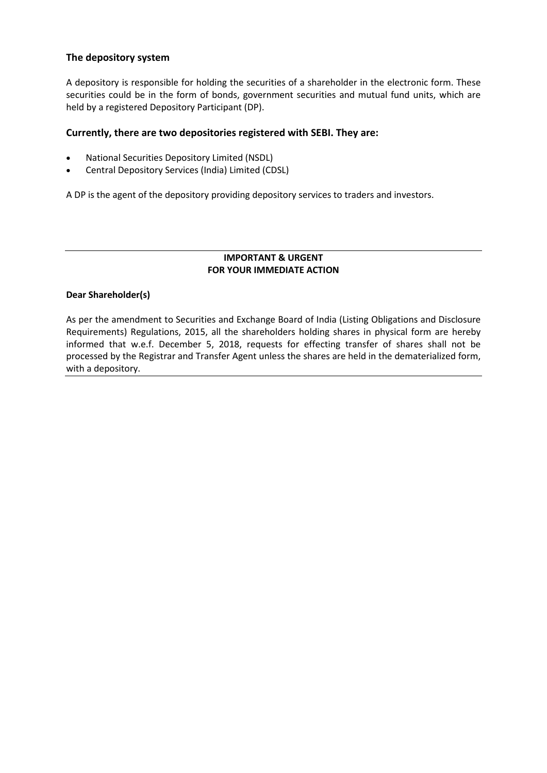# **The depository system**

A depository is responsible for holding the securities of a shareholder in the electronic form. These securities could be in the form of bonds, government securities and mutual fund units, which are held by a registered Depository Participant (DP).

#### **Currently, there are two depositories registered with SEBI. They are:**

- National Securities Depository Limited (NSDL)
- Central Depository Services (India) Limited (CDSL)

A DP is the agent of the depository providing depository services to traders and investors.

#### **IMPORTANT & URGENT FOR YOUR IMMEDIATE ACTION**

#### **Dear Shareholder(s)**

As per the amendment to Securities and Exchange Board of India (Listing Obligations and Disclosure Requirements) Regulations, 2015, all the shareholders holding shares in physical form are hereby informed that w.e.f. December 5, 2018, requests for effecting transfer of shares shall not be processed by the Registrar and Transfer Agent unless the shares are held in the dematerialized form, with a depository.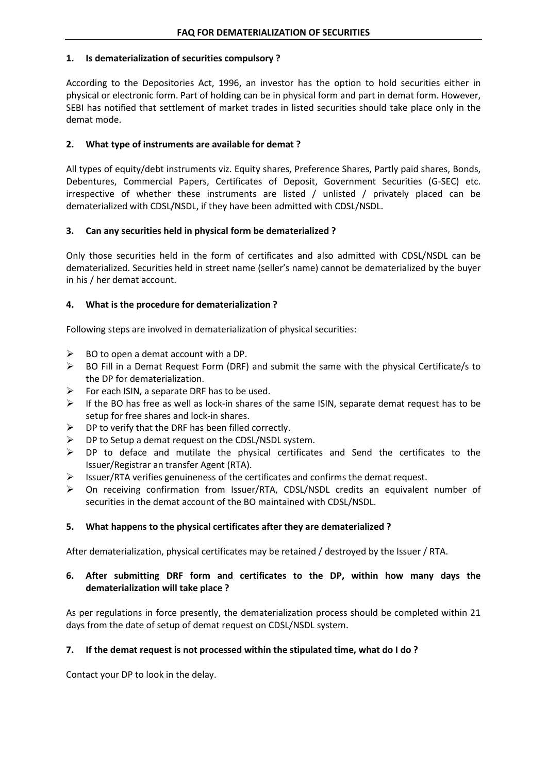#### **1. Is dematerialization of securities compulsory ?**

According to the Depositories Act, 1996, an investor has the option to hold securities either in physical or electronic form. Part of holding can be in physical form and part in demat form. However, SEBI has notified that settlement of market trades in listed securities should take place only in the demat mode.

# **2. What type of instruments are available for demat ?**

All types of equity/debt instruments viz. Equity shares, Preference Shares, Partly paid shares, Bonds, Debentures, Commercial Papers, Certificates of Deposit, Government Securities (G-SEC) etc. irrespective of whether these instruments are listed / unlisted / privately placed can be dematerialized with CDSL/NSDL, if they have been admitted with CDSL/NSDL.

#### **3. Can any securities held in physical form be dematerialized ?**

Only those securities held in the form of certificates and also admitted with CDSL/NSDL can be dematerialized. Securities held in street name (seller's name) cannot be dematerialized by the buyer in his / her demat account.

# **4. What is the procedure for dematerialization ?**

Following steps are involved in dematerialization of physical securities:

- $\triangleright$  BO to open a demat account with a DP.
- $\triangleright$  BO Fill in a Demat Request Form (DRF) and submit the same with the physical Certificate/s to the DP for dematerialization.
- $\triangleright$  For each ISIN, a separate DRF has to be used.
- $\triangleright$  If the BO has free as well as lock-in shares of the same ISIN, separate demat request has to be setup for free shares and lock-in shares.
- $\triangleright$  DP to verify that the DRF has been filled correctly.
- $\triangleright$  DP to Setup a demat request on the CDSL/NSDL system.
- $\triangleright$  DP to deface and mutilate the physical certificates and Send the certificates to the Issuer/Registrar an transfer Agent (RTA).
- $\triangleright$  Issuer/RTA verifies genuineness of the certificates and confirms the demat request.
- $\triangleright$  On receiving confirmation from Issuer/RTA, CDSL/NSDL credits an equivalent number of securities in the demat account of the BO maintained with CDSL/NSDL.

# **5. What happens to the physical certificates after they are dematerialized ?**

After dematerialization, physical certificates may be retained / destroyed by the Issuer / RTA.

# **6. After submitting DRF form and certificates to the DP, within how many days the dematerialization will take place ?**

As per regulations in force presently, the dematerialization process should be completed within 21 days from the date of setup of demat request on CDSL/NSDL system.

# **7. If the demat request is not processed within the stipulated time, what do I do ?**

Contact your DP to look in the delay.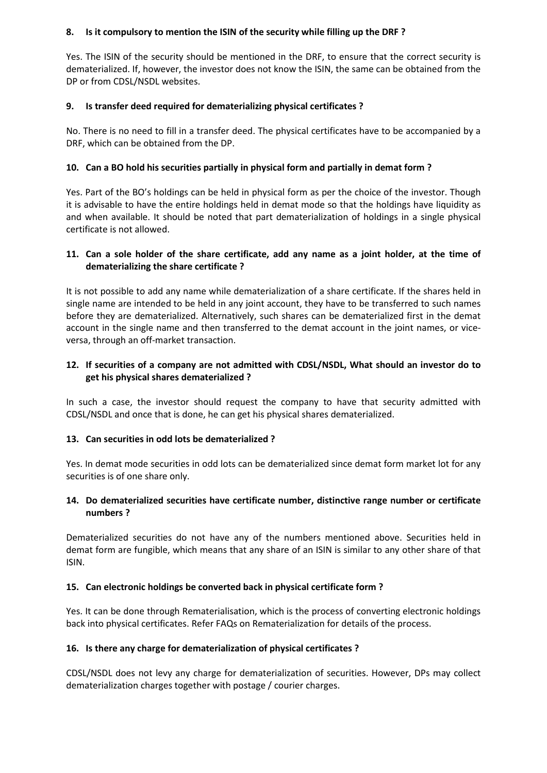#### **8. Is it compulsory to mention the ISIN of the security while filling up the DRF ?**

Yes. The ISIN of the security should be mentioned in the DRF, to ensure that the correct security is dematerialized. If, however, the investor does not know the ISIN, the same can be obtained from the DP or from CDSL/NSDL websites.

# **9. Is transfer deed required for dematerializing physical certificates ?**

No. There is no need to fill in a transfer deed. The physical certificates have to be accompanied by a DRF, which can be obtained from the DP.

#### **10. Can a BO hold his securities partially in physical form and partially in demat form ?**

Yes. Part of the BO's holdings can be held in physical form as per the choice of the investor. Though it is advisable to have the entire holdings held in demat mode so that the holdings have liquidity as and when available. It should be noted that part dematerialization of holdings in a single physical certificate is not allowed.

# **11. Can a sole holder of the share certificate, add any name as a joint holder, at the time of dematerializing the share certificate ?**

It is not possible to add any name while dematerialization of a share certificate. If the shares held in single name are intended to be held in any joint account, they have to be transferred to such names before they are dematerialized. Alternatively, such shares can be dematerialized first in the demat account in the single name and then transferred to the demat account in the joint names, or viceversa, through an off-market transaction.

# **12. If securities of a company are not admitted with CDSL/NSDL, What should an investor do to get his physical shares dematerialized ?**

In such a case, the investor should request the company to have that security admitted with CDSL/NSDL and once that is done, he can get his physical shares dematerialized.

#### **13. Can securities in odd lots be dematerialized ?**

Yes. In demat mode securities in odd lots can be dematerialized since demat form market lot for any securities is of one share only.

#### **14. Do dematerialized securities have certificate number, distinctive range number or certificate numbers ?**

Dematerialized securities do not have any of the numbers mentioned above. Securities held in demat form are fungible, which means that any share of an ISIN is similar to any other share of that ISIN.

#### **15. Can electronic holdings be converted back in physical certificate form ?**

Yes. It can be done through Rematerialisation, which is the process of converting electronic holdings back into physical certificates. Refer FAQs on Rematerialization for details of the process.

#### **16. Is there any charge for dematerialization of physical certificates ?**

CDSL/NSDL does not levy any charge for dematerialization of securities. However, DPs may collect dematerialization charges together with postage / courier charges.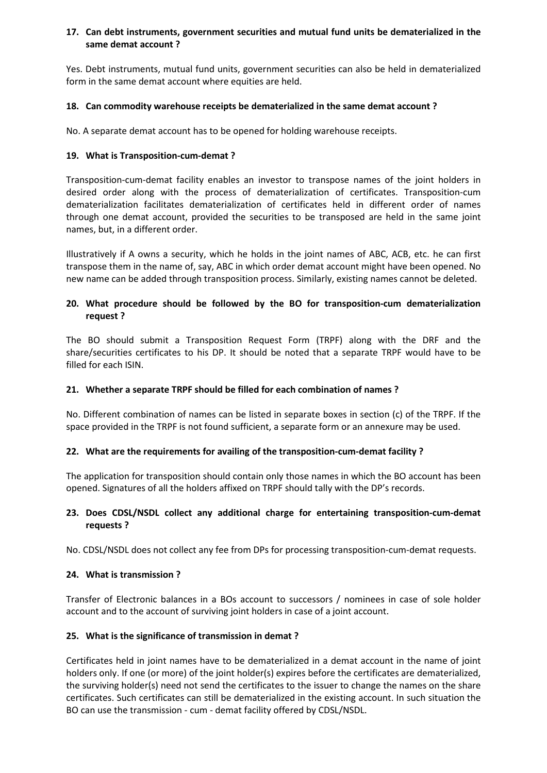#### **17. Can debt instruments, government securities and mutual fund units be dematerialized in the same demat account ?**

Yes. Debt instruments, mutual fund units, government securities can also be held in dematerialized form in the same demat account where equities are held.

#### **18. Can commodity warehouse receipts be dematerialized in the same demat account ?**

No. A separate demat account has to be opened for holding warehouse receipts.

#### **19. What is Transposition-cum-demat ?**

Transposition-cum-demat facility enables an investor to transpose names of the joint holders in desired order along with the process of dematerialization of certificates. Transposition-cum dematerialization facilitates dematerialization of certificates held in different order of names through one demat account, provided the securities to be transposed are held in the same joint names, but, in a different order.

Illustratively if A owns a security, which he holds in the joint names of ABC, ACB, etc. he can first transpose them in the name of, say, ABC in which order demat account might have been opened. No new name can be added through transposition process. Similarly, existing names cannot be deleted.

# **20. What procedure should be followed by the BO for transposition-cum dematerialization request ?**

The BO should submit a Transposition Request Form (TRPF) along with the DRF and the share/securities certificates to his DP. It should be noted that a separate TRPF would have to be filled for each ISIN.

#### **21. Whether a separate TRPF should be filled for each combination of names ?**

No. Different combination of names can be listed in separate boxes in section (c) of the TRPF. If the space provided in the TRPF is not found sufficient, a separate form or an annexure may be used.

#### **22. What are the requirements for availing of the transposition-cum-demat facility ?**

The application for transposition should contain only those names in which the BO account has been opened. Signatures of all the holders affixed on TRPF should tally with the DP's records.

# **23. Does CDSL/NSDL collect any additional charge for entertaining transposition-cum-demat requests ?**

No. CDSL/NSDL does not collect any fee from DPs for processing transposition-cum-demat requests.

# **24. What is transmission ?**

Transfer of Electronic balances in a BOs account to successors / nominees in case of sole holder account and to the account of surviving joint holders in case of a joint account.

# **25. What is the significance of transmission in demat ?**

Certificates held in joint names have to be dematerialized in a demat account in the name of joint holders only. If one (or more) of the joint holder(s) expires before the certificates are dematerialized, the surviving holder(s) need not send the certificates to the issuer to change the names on the share certificates. Such certificates can still be dematerialized in the existing account. In such situation the BO can use the transmission - cum - demat facility offered by CDSL/NSDL.